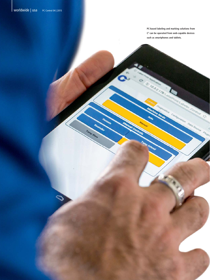**PC-based labeling and marking solutions from C3 can be operated from web-capable devices such as smartphones and tablets.**

met abeler Comrol

叔

Data Source Chugin

Configuration

1032178

**Imp Extend** 

Vacuum

ົດ

Rewinder

Tamp Blow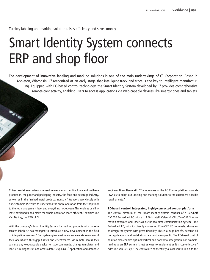Turnkey labeling and marking solution raises efficiency and saves money

## Smart Identity System connects ERP and shop floor

The development of innovative labeling and marking solutions is one of the main undertakings of C<sup>3</sup> Corporation. Based in Appleton, Wisconsin, C<sup>3</sup> recognized at an early stage that intelligent track-and-trace is the key to intelligent manufacturing. Equipped with PC-based control technology, the Smart Identity System developed by C<sup>3</sup> provides comprehensive remote connectivity, enabling users to access applications via web-capable devices like smartphones and tablets.

C3 track-and-trace systems are used in many industries like foam and urethane production, the paper and packaging industry, the food and beverage industry, as well as in the finished metal products industry. "We work very closely with our customers. We want to understand the entire operation from the shop floor to the top management level and everything in-between. This enables us eliminate bottlenecks and make the whole operation more efficient," explains Joe Van De Hey, the CEO of C<sup>3</sup>.

With the company's Smart Identity System for marking products with data-intensive labels,  $C^3$  has managed to introduce a new development in the field of integration services. "Our system gives customers an accurate overview of their operation's throughput rates and effectiveness. Via remote access they can use any web-capable device to issue commands, change templates and labels, run diagnostics and access data," explains  $C<sup>3</sup>$  application and database engineer, Drew Demerath. "The openness of the PC Control platform also allows us to adapt our labeling and marking solution to the customer's specific requirements."

## PC-based control: Integrated, highly-connected control platform

The control platform of the Smart Identity System consists of a Beckhoff CX2020 Embedded PC with a 1.4 GHz Intel® Celeron® CPU, TwinCAT 3 automation software, and EtherCAT as the real-time communication system. "The Embedded PC, with its directly connected EtherCAT I/O terminals, allows us to design the system with great flexibility. This is a huge benefit, because all our applications and installations are customer-specific. The PC-based control solution also enables optimal vertical and horizontal integration. For example, linking to an ERP system is just as easy to implement as it is cost-effective," adds Joe Van De Hey. "The controller's connectivity allows you to link it to the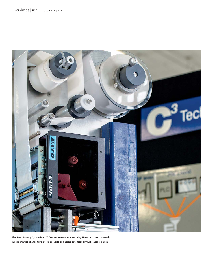

**The Smart Identity System from C3 features extensive connectivity. Users can issue commands, run diagnostics, change templates and labels, and access data from any web-capable device.**